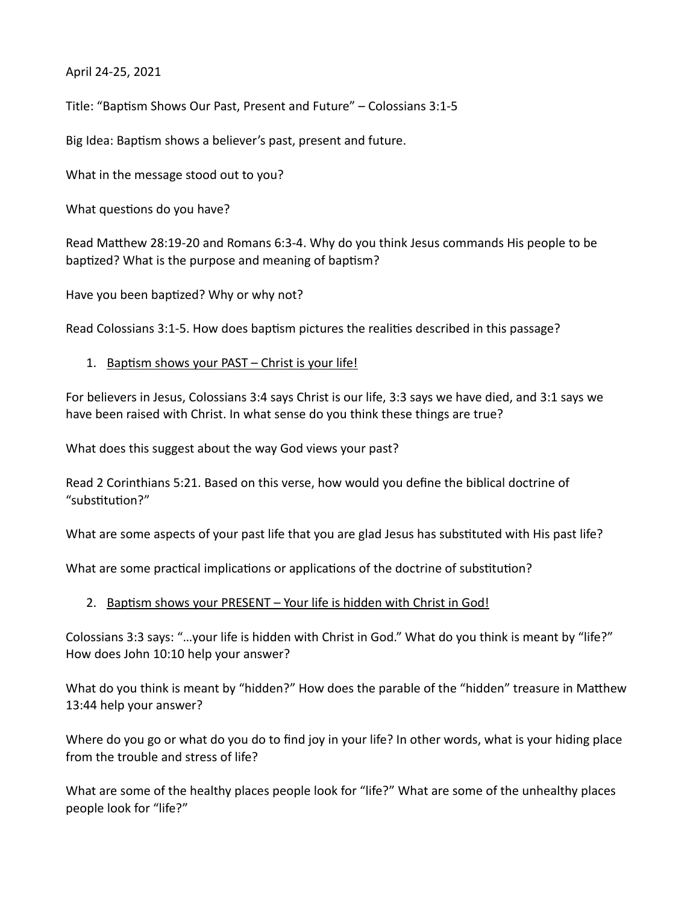April 24-25, 2021

Title: "Baptism Shows Our Past, Present and Future" – Colossians 3:1-5

Big Idea: Baptism shows a believer's past, present and future.

What in the message stood out to you?

What questions do you have?

Read Matthew 28:19-20 and Romans 6:3-4. Why do you think Jesus commands His people to be baptized? What is the purpose and meaning of baptism?

Have you been baptized? Why or why not?

Read Colossians 3:1-5. How does baptism pictures the realities described in this passage?

1. Baptism shows your PAST – Christ is your life!

For believers in Jesus, Colossians 3:4 says Christ is our life, 3:3 says we have died, and 3:1 says we have been raised with Christ. In what sense do you think these things are true?

What does this suggest about the way God views your past?

Read 2 Corinthians 5:21. Based on this verse, how would you define the biblical doctrine of "substitution?"

What are some aspects of your past life that you are glad Jesus has substituted with His past life?

What are some practical implications or applications of the doctrine of substitution?

## 2. Baptism shows your PRESENT – Your life is hidden with Christ in God!

Colossians 3:3 says: "…your life is hidden with Christ in God." What do you think is meant by "life?" How does John 10:10 help your answer?

What do you think is meant by "hidden?" How does the parable of the "hidden" treasure in Matthew 13:44 help your answer?

Where do you go or what do you do to find joy in your life? In other words, what is your hiding place from the trouble and stress of life?

What are some of the healthy places people look for "life?" What are some of the unhealthy places people look for "life?"